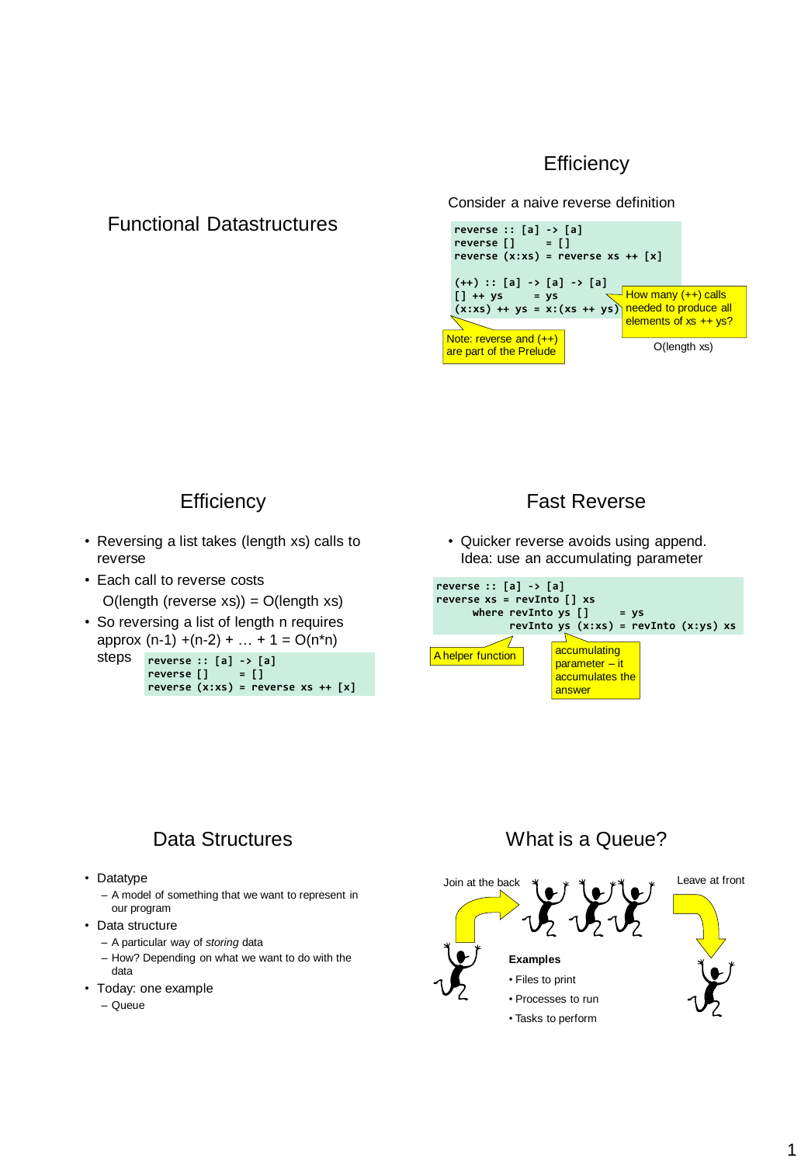### **Efficiency**

### Functional Datastructures

Consider a naive reverse definition



### **Efficiency**

- Reversing a list takes (length xs) calls to reverse
- Each call to reverse costs  $O($ length (reverse xs)) =  $O($ length xs)
- So reversing a list of length n requires approx  $(n-1) + (n-2) + ... + 1 = O(n<sup>*</sup>n)$

steps **reverse :: [a] -> [a] reverse [] = [] reverse (x:xs) = reverse xs ++ [x]**

### Fast Reverse

• Quicker reverse avoids using append. Idea: use an accumulating parameter



# Data Structures

- Datatype
	- A model of something that we want to represent in our program
- Data structure
	- A particular way of *storing* data
	- How? Depending on what we want to do with the data
- Today: one example
	- Queue

# What is a Queue?

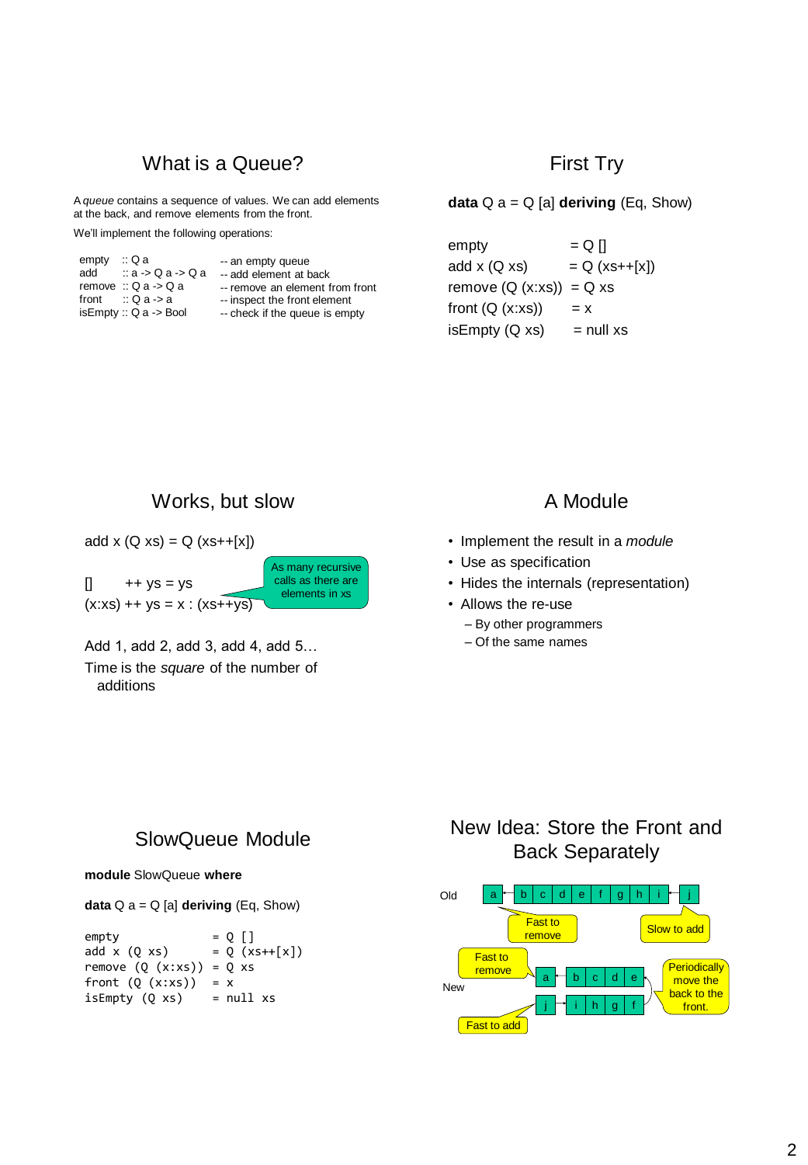### What is a Queue?

A *queue* contains a sequence of values. We can add elements at the back, and remove elements from the front.

We'll implement the following operations:

| empty | ∷Qa                            | -- an empty queue               |
|-------|--------------------------------|---------------------------------|
| add   | $\therefore$ a -> Q a -> Q a   | -- add element at back          |
|       | remove $\therefore$ Q a -> Q a | -- remove an element from front |
|       | front $\therefore$ Q a -> a    | -- inspect the front element    |
|       | is Empty :: $Q$ a -> Bool      | -- check if the queue is empty  |

#### First Try

**data**  $Q$   $a = Q$  [a] **deriving** (Eq, Show)

 $empty = Q \vert$ add x  $(Q \, xs)$  =  $Q \, (xs++[x])$ remove  $(Q (x:xs)) = Q xs$ front  $(Q (x:xs)) = x$  $isEmpty(Q xs)$  = null xs

### Works, but slow

add  $x (Q xs) = Q (xs++[x])$  $\begin{bmatrix} 1 & ++ys = ys \end{bmatrix}$  $(x:xs)$  ++ ys = x :  $(xs++ys)$ As many recursive calls as there are elements in xs

Add 1, add 2, add 3, add 4, add 5… Time is the *square* of the number of additions

### A Module

- Implement the result in a *module*
- Use as specification
- Hides the internals (representation)
- Allows the re-use
	- By other programmers
	- Of the same names

### SlowQueue Module

**module** SlowQueue **where**

**data** Q a = Q [a] **deriving** (Eq, Show)

empty  $= Q []$ <br>add x  $(Q x s) = Q (x)$  $= Q (x s++[x])$ remove  $(Q (x:xs)) = Q xs$ front  $(Q (x:xs)) = x$  $isEmpty(Q xs) = null xs$ 

# New Idea: Store the Front and Back Separately

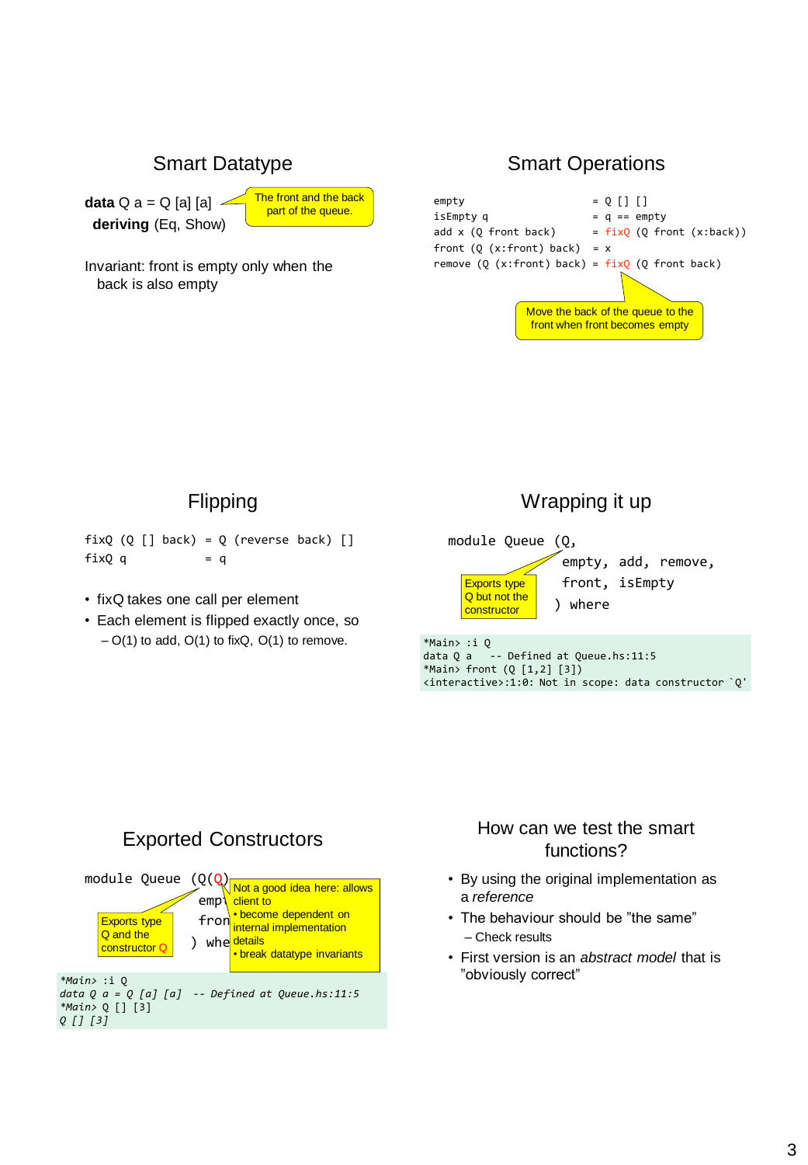## Smart Datatype

**data** Q a = Q [a] [a] **deriving** (Eq, Show)



Invariant: front is empty only when the back is also empty

### Smart Operations



#### Flipping

 $fixQ(Q[] back) = Q(reverse back) []$  $fixQ q = q$ 

- fixQ takes one call per element
- Each element is flipped exactly once, so  $- O(1)$  to add,  $O(1)$  to fixQ,  $O(1)$  to remove.

# Wrapping it up

module Queue (Q, empty, add, remove, front, isEmpty ) where Exports type Q but not the **constructor** \*Main> :i Q

data Q a -- Defined at Queue.hs:11:5 \*Main> front (Q [1,2] [3]) <interactive>:1:0: Not in scope: data constructor `Q'

### Exported Constructors



### How can we test the smart functions?

- By using the original implementation as a *reference*
- The behaviour should be "the same" – Check results
- First version is an *abstract model* that is "obviously correct"